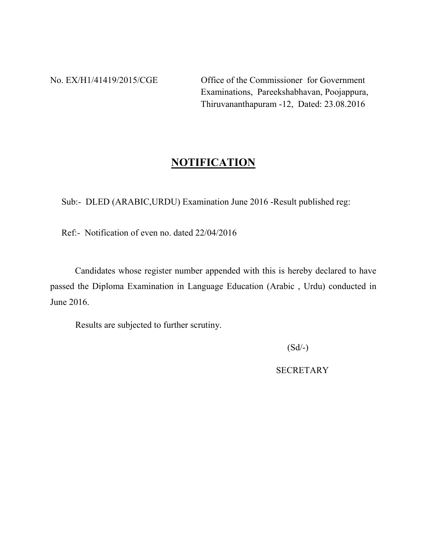No. EX/H1/41419/2015/CGE Office of the Commissioner for Government Examinations, Pareekshabhavan, Poojappura, Thiruvananthapuram -12, Dated: 23.08.2016

## **NOTIFICATION**

Sub:- DLED (ARABIC,URDU) Examination June 2016 -Result published reg:

Ref:- Notification of even no. dated 22/04/2016

 Candidates whose register number appended with this is hereby declared to have passed the Diploma Examination in Language Education (Arabic , Urdu) conducted in June 2016.

Results are subjected to further scrutiny.

 $(Sd/-)$ 

**SECRETARY**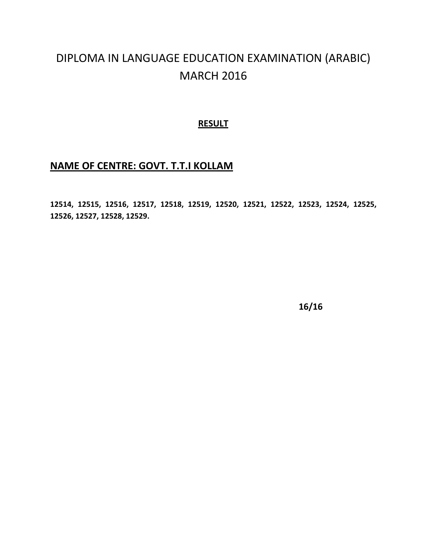## DIPLOMA IN LANGUAGE EDUCATION EXAMINATION (ARABIC) MARCH 2016

#### **RESULT**

### **NAME OF CENTRE: GOVT. T.T.I KOLLAM**

**12514, 12515, 12516, 12517, 12518, 12519, 12520, 12521, 12522, 12523, 12524, 12525, 12526, 12527, 12528, 12529.**

**16/16**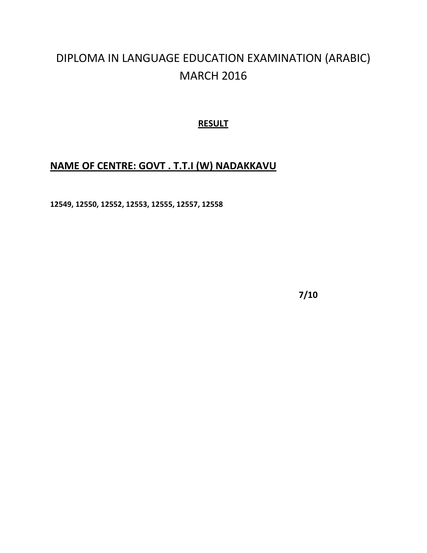# DIPLOMA IN LANGUAGE EDUCATION EXAMINATION (ARABIC) MARCH 2016

### **RESULT**

## **NAME OF CENTRE: GOVT . T.T.I (W) NADAKKAVU**

**12549, 12550, 12552, 12553, 12555, 12557, 12558**

**7/10**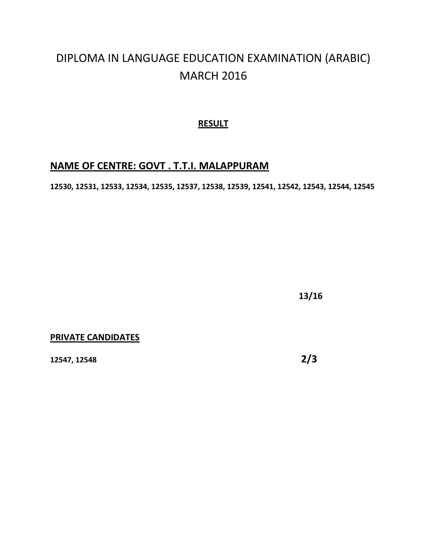## DIPLOMA IN LANGUAGE EDUCATION EXAMINATION (ARABIC) MARCH 2016

### **RESULT**

## **NAME OF CENTRE: GOVT . T.T.I. MALAPPURAM**

**12530, 12531, 12533, 12534, 12535, 12537, 12538, 12539, 12541, 12542, 12543, 12544, 12545**

**13/16**

#### **PRIVATE CANDIDATES**

**12547, 12548 2/3**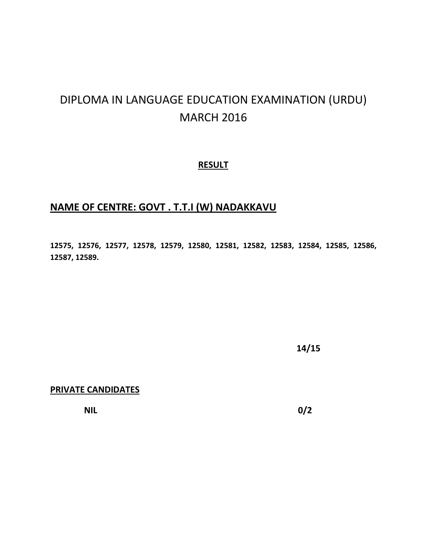# DIPLOMA IN LANGUAGE EDUCATION EXAMINATION (URDU) MARCH 2016

#### **RESULT**

## **NAME OF CENTRE: GOVT . T.T.I (W) NADAKKAVU**

**12575, 12576, 12577, 12578, 12579, 12580, 12581, 12582, 12583, 12584, 12585, 12586, 12587, 12589.** 

**14/15**

**PRIVATE CANDIDATES** 

**NIL** 0/2